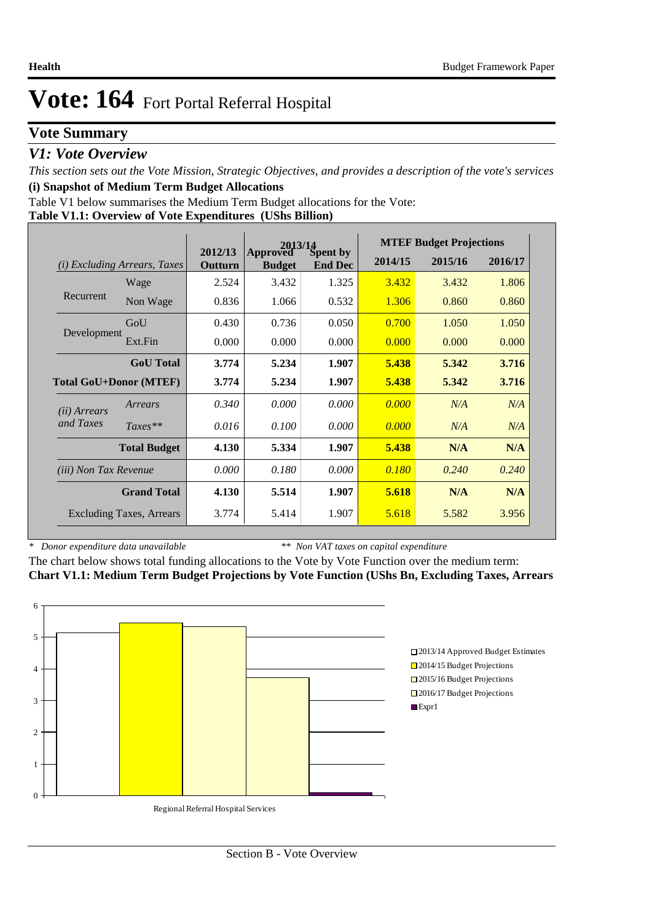### **Vote Summary**

### *V1: Vote Overview*

*This section sets out the Vote Mission, Strategic Objectives, and provides a description of the vote's services* **(i) Snapshot of Medium Term Budget Allocations** 

Table V1 below summarises the Medium Term Budget allocations for the Vote:

|  |  | Table V1.1: Overview of Vote Expenditures (UShs Billion) |
|--|--|----------------------------------------------------------|
|  |  |                                                          |

|                              |                                 | $2013/14$<br>Spent by<br>2012/13 |                           | <b>MTEF Budget Projections</b> |         |         |         |
|------------------------------|---------------------------------|----------------------------------|---------------------------|--------------------------------|---------|---------|---------|
| (i)                          | <i>Excluding Arrears, Taxes</i> | Outturn                          | Approved<br><b>Budget</b> | <b>End Dec</b>                 | 2014/15 | 2015/16 | 2016/17 |
|                              | Wage                            | 2.524                            | 3.432                     | 1.325                          | 3.432   | 3.432   | 1.806   |
| Recurrent                    | Non Wage                        | 0.836                            | 1.066                     | 0.532                          | 1.306   | 0.860   | 0.860   |
|                              | GoU                             | 0.430                            | 0.736                     | 0.050                          | 0.700   | 1.050   | 1.050   |
| Development                  | Ext.Fin                         | 0.000                            | 0.000                     | 0.000                          | 0.000   | 0.000   | 0.000   |
|                              | <b>GoU</b> Total                | 3.774                            | 5.234                     | 1.907                          | 5.438   | 5.342   | 3.716   |
|                              | <b>Total GoU+Donor (MTEF)</b>   | 3.774                            | 5.234                     | 1.907                          | 5.438   | 5.342   | 3.716   |
| ( <i>ii</i> ) Arrears        | Arrears                         | 0.340                            | 0.000                     | 0.000                          | 0.000   | N/A     | N/A     |
| and Taxes                    | $Taxes**$                       | 0.016                            | 0.100                     | 0.000                          | 0.000   | N/A     | N/A     |
|                              | <b>Total Budget</b>             | 4.130                            | 5.334                     | 1.907                          | 5.438   | N/A     | N/A     |
| <i>(iii)</i> Non Tax Revenue |                                 | 0.000                            | 0.180                     | 0.000                          | 0.180   | 0.240   | 0.240   |
|                              | <b>Grand Total</b>              | 4.130                            | 5.514                     | 1.907                          | 5.618   | N/A     | N/A     |
|                              | <b>Excluding Taxes, Arrears</b> | 3.774                            | 5.414                     | 1.907                          | 5.618   | 5.582   | 3.956   |

*\* Donor expenditure data unavailable*

*\*\* Non VAT taxes on capital expenditure*

The chart below shows total funding allocations to the Vote by Vote Function over the medium term: **Chart V1.1: Medium Term Budget Projections by Vote Function (UShs Bn, Excluding Taxes, Arrears**

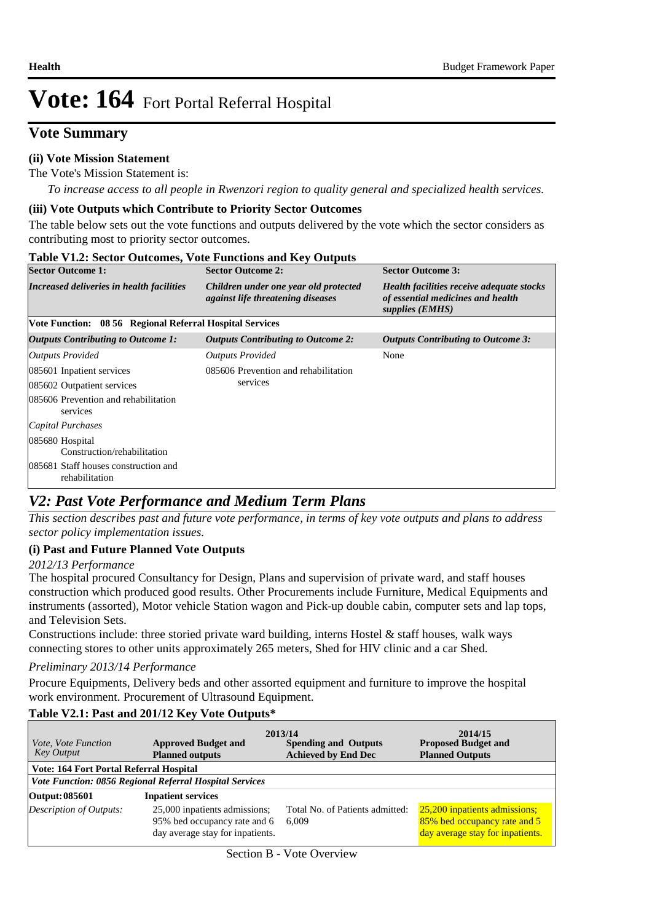### **Vote Summary**

#### **(ii) Vote Mission Statement**

The Vote's Mission Statement is:

*To increase access to all people in Rwenzori region to quality general and specialized health services.*

#### **(iii) Vote Outputs which Contribute to Priority Sector Outcomes**

The table below sets out the vote functions and outputs delivered by the vote which the sector considers as contributing most to priority sector outcomes.

|  | Table V1.2: Sector Outcomes, Vote Functions and Key Outputs |
|--|-------------------------------------------------------------|
|--|-------------------------------------------------------------|

| <b>Sector Outcome 1:</b>                                 | <b>Sector Outcome 2:</b>                                                          | <b>Sector Outcome 3:</b>                                                                          |
|----------------------------------------------------------|-----------------------------------------------------------------------------------|---------------------------------------------------------------------------------------------------|
| Increased deliveries in health facilities                | Children under one year old protected<br><i>against life threatening diseases</i> | Health facilities receive adequate stocks<br>of essential medicines and health<br>supplies (EMHS) |
| Vote Function: 08 56 Regional Referral Hospital Services |                                                                                   |                                                                                                   |
| Outputs Contributing to Outcome 1:                       | <b>Outputs Contributing to Outcome 2:</b>                                         | <b>Outputs Contributing to Outcome 3:</b>                                                         |
| <b>Outputs Provided</b>                                  | <b>Outputs Provided</b>                                                           | None                                                                                              |
| 085601 Inpatient services                                | 085606 Prevention and rehabilitation                                              |                                                                                                   |
| 085602 Outpatient services                               | services                                                                          |                                                                                                   |
| 085606 Prevention and rehabilitation<br>services         |                                                                                   |                                                                                                   |
| Capital Purchases                                        |                                                                                   |                                                                                                   |
| 085680 Hospital<br>Construction/rehabilitation           |                                                                                   |                                                                                                   |
| 085681 Staff houses construction and<br>rehabilitation   |                                                                                   |                                                                                                   |

### *V2: Past Vote Performance and Medium Term Plans*

*This section describes past and future vote performance, in terms of key vote outputs and plans to address sector policy implementation issues.* 

#### **(i) Past and Future Planned Vote Outputs**

#### *2012/13 Performance*

The hospital procured Consultancy for Design, Plans and supervision of private ward, and staff houses construction which produced good results. Other Procurements include Furniture, Medical Equipments and instruments (assorted), Motor vehicle Station wagon and Pick-up double cabin, computer sets and lap tops, and Television Sets.

Constructions include: three storied private ward building, interns Hostel & staff houses, walk ways connecting stores to other units approximately 265 meters, Shed for HIV clinic and a car Shed.

#### *Preliminary 2013/14 Performance*

Procure Equipments, Delivery beds and other assorted equipment and furniture to improve the hospital work environment. Procurement of Ultrasound Equipment.

#### **Table V2.1: Past and 201/12 Key Vote Outputs\***

| <i>Vote, Vote Function</i><br><b>Key Output</b> | <b>Approved Budget and</b><br><b>Planned outputs</b>                                              | 2013/14<br><b>Spending and Outputs</b><br><b>Achieved by End Dec</b> | 2014/15<br><b>Proposed Budget and</b><br><b>Planned Outputs</b>                                   |  |  |  |  |  |  |  |
|-------------------------------------------------|---------------------------------------------------------------------------------------------------|----------------------------------------------------------------------|---------------------------------------------------------------------------------------------------|--|--|--|--|--|--|--|
|                                                 | Vote: 164 Fort Portal Referral Hospital                                                           |                                                                      |                                                                                                   |  |  |  |  |  |  |  |
|                                                 | Vote Function: 0856 Regional Referral Hospital Services                                           |                                                                      |                                                                                                   |  |  |  |  |  |  |  |
| Output: 085601                                  | <b>Inpatient services</b>                                                                         |                                                                      |                                                                                                   |  |  |  |  |  |  |  |
| Description of Outputs:                         | 25,000 inpatients admissions;<br>95% bed occupancy rate and 6<br>day average stay for inpatients. | Total No. of Patients admitted:<br>6.009                             | 25,200 inpatients admissions;<br>85% bed occupancy rate and 5<br>day average stay for inpatients. |  |  |  |  |  |  |  |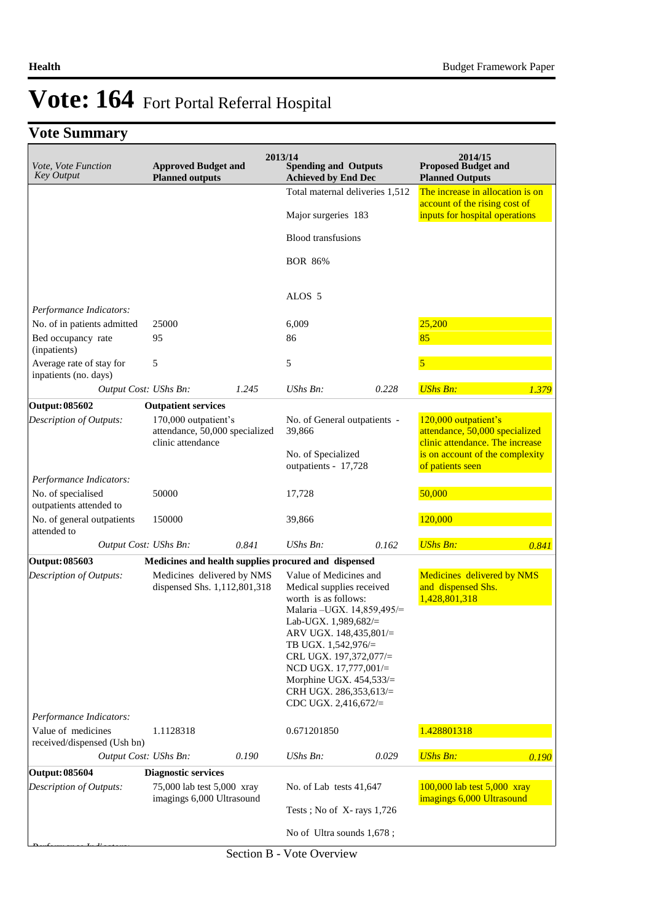# **Vote Summary**

| Vote, Vote Function<br>Key Output                    | <b>Approved Budget and</b><br><b>Planned outputs</b>                                  |       | 2013/14<br><b>Spending and Outputs</b><br><b>Achieved by End Dec</b>                                                                                                                                                                                                                                                           |       | 2014/15<br><b>Proposed Budget and</b><br><b>Planned Outputs</b>                        |       |
|------------------------------------------------------|---------------------------------------------------------------------------------------|-------|--------------------------------------------------------------------------------------------------------------------------------------------------------------------------------------------------------------------------------------------------------------------------------------------------------------------------------|-------|----------------------------------------------------------------------------------------|-------|
|                                                      |                                                                                       |       | Total maternal deliveries 1,512                                                                                                                                                                                                                                                                                                |       | The increase in allocation is on                                                       |       |
|                                                      |                                                                                       |       | Major surgeries 183                                                                                                                                                                                                                                                                                                            |       | account of the rising cost of<br>inputs for hospital operations                        |       |
|                                                      |                                                                                       |       | <b>Blood transfusions</b>                                                                                                                                                                                                                                                                                                      |       |                                                                                        |       |
|                                                      |                                                                                       |       | <b>BOR 86%</b>                                                                                                                                                                                                                                                                                                                 |       |                                                                                        |       |
|                                                      |                                                                                       |       | ALOS <sub>5</sub>                                                                                                                                                                                                                                                                                                              |       |                                                                                        |       |
| Performance Indicators:                              |                                                                                       |       |                                                                                                                                                                                                                                                                                                                                |       |                                                                                        |       |
| No. of in patients admitted                          | 25000                                                                                 |       | 6,009                                                                                                                                                                                                                                                                                                                          |       | 25,200                                                                                 |       |
| Bed occupancy rate<br>(inpatients)                   | 95                                                                                    |       | 86                                                                                                                                                                                                                                                                                                                             |       | 85                                                                                     |       |
| Average rate of stay for<br>inpatients (no. days)    | 5                                                                                     |       | 5                                                                                                                                                                                                                                                                                                                              |       | 5                                                                                      |       |
| Output Cost: UShs Bn:                                |                                                                                       | 1.245 | UShs Bn:                                                                                                                                                                                                                                                                                                                       | 0.228 | <b>UShs Bn:</b>                                                                        | 1.379 |
| <b>Output: 085602</b>                                | <b>Outpatient services</b>                                                            |       |                                                                                                                                                                                                                                                                                                                                |       |                                                                                        |       |
| <b>Description of Outputs:</b>                       | 170,000 outpatient's<br>attendance, 50,000 specialized                                |       | No. of General outpatients -<br>39,866                                                                                                                                                                                                                                                                                         |       | 120,000 outpatient's<br>attendance, 50,000 specialized                                 |       |
|                                                      | clinic attendance                                                                     |       | No. of Specialized<br>outpatients - 17,728                                                                                                                                                                                                                                                                                     |       | clinic attendance. The increase<br>is on account of the complexity<br>of patients seen |       |
| Performance Indicators:                              |                                                                                       |       |                                                                                                                                                                                                                                                                                                                                |       |                                                                                        |       |
| No. of specialised<br>outpatients attended to        | 50000                                                                                 |       | 17,728                                                                                                                                                                                                                                                                                                                         |       | 50,000                                                                                 |       |
| No. of general outpatients<br>attended to            | 150000                                                                                |       | 39,866                                                                                                                                                                                                                                                                                                                         |       | 120,000                                                                                |       |
| Output Cost: UShs Bn:                                |                                                                                       | 0.841 | $UShs Bn$ :                                                                                                                                                                                                                                                                                                                    | 0.162 | <b>UShs Bn:</b>                                                                        | 0.841 |
| <b>Output: 085603</b>                                |                                                                                       |       | Medicines and health supplies procured and dispensed                                                                                                                                                                                                                                                                           |       |                                                                                        |       |
| Description of Outputs:<br>Performance Indicators:   | Medicines delivered by NMS<br>dispensed Shs. 1,112,801,318                            |       | Value of Medicines and<br>Medical supplies received<br>worth is as follows:<br>Malaria - UGX. 14,859,495/=<br>Lab-UGX. $1,989,682/\equiv$<br>ARV UGX. 148,435,801/=<br>TB UGX. 1,542,976/=<br>CRL UGX. 197,372,077/=<br>NCD UGX. $17,777,001/=$<br>Morphine UGX. $454,533/=$<br>CRH UGX. 286,353,613/=<br>CDC UGX. 2,416,672/= |       | Medicines delivered by NMS<br>and dispensed Shs.<br>1,428,801,318                      |       |
| Value of medicines                                   | 1.1128318                                                                             |       | 0.671201850                                                                                                                                                                                                                                                                                                                    |       | 1.428801318                                                                            |       |
| received/dispensed (Ush bn)<br>Output Cost: UShs Bn: |                                                                                       | 0.190 | UShs Bn:                                                                                                                                                                                                                                                                                                                       | 0.029 | <b>UShs Bn:</b>                                                                        | 0.190 |
| <b>Output: 085604</b>                                |                                                                                       |       |                                                                                                                                                                                                                                                                                                                                |       |                                                                                        |       |
| Description of Outputs:                              | <b>Diagnostic services</b><br>75,000 lab test 5,000 xray<br>imagings 6,000 Ultrasound |       | No. of Lab tests 41,647                                                                                                                                                                                                                                                                                                        |       | 100,000 lab test 5,000 xray<br>imagings 6,000 Ultrasound                               |       |
|                                                      |                                                                                       |       | Tests; No of $X$ -rays 1,726                                                                                                                                                                                                                                                                                                   |       |                                                                                        |       |
|                                                      |                                                                                       |       | No of Ultra sounds 1,678;                                                                                                                                                                                                                                                                                                      |       |                                                                                        |       |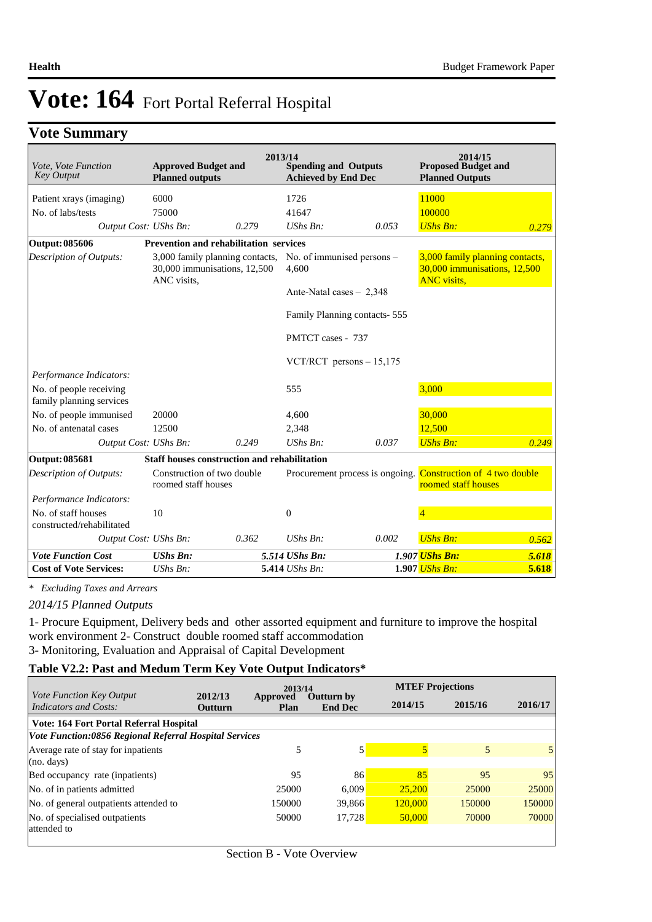# **Vote Summary**

| Vote, Vote Function<br><b>Key Output</b>            | <b>Approved Budget and</b><br><b>Planned outputs</b>                           |                                                   | 2013/14<br><b>Spending and Outputs</b><br><b>Achieved by End Dec</b> |                                 | 2014/15<br><b>Proposed Budget and</b><br><b>Planned Outputs</b>                       |                                                     |
|-----------------------------------------------------|--------------------------------------------------------------------------------|---------------------------------------------------|----------------------------------------------------------------------|---------------------------------|---------------------------------------------------------------------------------------|-----------------------------------------------------|
| Patient xrays (imaging)                             | 6000                                                                           |                                                   | 1726                                                                 |                                 | 11000                                                                                 |                                                     |
| No. of labs/tests                                   | 75000                                                                          |                                                   | 41647                                                                |                                 | 100000                                                                                |                                                     |
| Output Cost: UShs Bn:                               |                                                                                | 0.279                                             | UShs Bn:                                                             | 0.053                           | <b>UShs Bn:</b>                                                                       | 0.279                                               |
| Output: 085606                                      | <b>Prevention and rehabilitation services</b>                                  |                                                   |                                                                      |                                 |                                                                                       |                                                     |
| <b>Description of Outputs:</b>                      | 3,000 family planning contacts,<br>30,000 immunisations, 12,500<br>ANC visits, |                                                   | No. of immunised persons -<br>4,600                                  |                                 | 3,000 family planning contacts,<br>30,000 immunisations, 12,500<br><b>ANC</b> visits, |                                                     |
|                                                     |                                                                                |                                                   | Ante-Natal cases $-2,348$                                            |                                 |                                                                                       |                                                     |
|                                                     |                                                                                |                                                   | Family Planning contacts-555                                         |                                 |                                                                                       |                                                     |
|                                                     |                                                                                |                                                   | PMTCT cases - 737                                                    |                                 |                                                                                       |                                                     |
|                                                     |                                                                                |                                                   | VCT/RCT persons $-15,175$                                            |                                 |                                                                                       |                                                     |
| Performance Indicators:                             |                                                                                |                                                   |                                                                      |                                 |                                                                                       |                                                     |
| No. of people receiving<br>family planning services |                                                                                |                                                   | 555                                                                  |                                 | 3,000                                                                                 |                                                     |
| No. of people immunised                             | 20000                                                                          |                                                   | 4,600                                                                |                                 | 30,000                                                                                |                                                     |
| No. of antenatal cases                              | 12500                                                                          |                                                   | 2,348                                                                |                                 | 12,500                                                                                |                                                     |
| Output Cost: UShs Bn:                               |                                                                                | 0.249                                             | UShs Bn:                                                             | 0.037                           | <b>UShs Bn:</b>                                                                       | 0.249                                               |
| Output: 085681                                      | <b>Staff houses construction and rehabilitation</b>                            |                                                   |                                                                      |                                 |                                                                                       |                                                     |
| Description of Outputs:                             |                                                                                | Construction of two double<br>roomed staff houses |                                                                      | Procurement process is ongoing. |                                                                                       | Construction of 4 two double<br>roomed staff houses |
| Performance Indicators:                             |                                                                                |                                                   |                                                                      |                                 |                                                                                       |                                                     |
| No. of staff houses<br>constructed/rehabilitated    | 10                                                                             |                                                   | $\mathbf{0}$                                                         |                                 | $\overline{4}$                                                                        |                                                     |
| Output Cost: UShs Bn:                               |                                                                                | 0.362                                             | $UShs Bn$ :                                                          | 0.002                           | <b>UShs Bn:</b>                                                                       | 0.562                                               |
| <b>Vote Function Cost</b>                           | <b>UShs Bn:</b>                                                                |                                                   | 5.514 UShs Bn:                                                       |                                 | 1.907 <i>UShs Bn:</i>                                                                 | 5.618                                               |
| <b>Cost of Vote Services:</b>                       | $UShs Bn$ :                                                                    |                                                   | 5.414 UShs Bn:                                                       |                                 | 1.907 <i>UShs Bn:</i>                                                                 | 5.618                                               |

*\* Excluding Taxes and Arrears*

*2014/15 Planned Outputs*

1- Procure Equipment, Delivery beds and other assorted equipment and furniture to improve the hospital work environment 2- Construct double roomed staff accommodation 3- Monitoring, Evaluation and Appraisal of Capital Development

#### **Table V2.2: Past and Medum Term Key Vote Output Indicators\***

|                                                          | 2012/13        | 2013/14                        |                                     | <b>MTEF Projections</b> |         |         |
|----------------------------------------------------------|----------------|--------------------------------|-------------------------------------|-------------------------|---------|---------|
| <i>Vote Function Key Output</i><br>Indicators and Costs: | <b>Outturn</b> | <b>Approved</b><br><b>Plan</b> | <b>Outturn by</b><br><b>End Dec</b> | 2014/15                 | 2015/16 | 2016/17 |
| Vote: 164 Fort Portal Referral Hospital                  |                |                                |                                     |                         |         |         |
| Vote Function:0856 Regional Referral Hospital Services   |                |                                |                                     |                         |         |         |
| Average rate of stay for inpatients                      |                | 5                              |                                     |                         | 5       | 5       |
| (no. days)                                               |                |                                |                                     |                         |         |         |
| Bed occupancy rate (inpatients)                          |                | 95                             | 86                                  | 85                      | 95      | 95      |
| No. of in patients admitted                              |                | 25000                          | 6.009                               | 25,200                  | 25000   | 25000   |
| No. of general outpatients attended to                   |                | 150000                         | 39,866                              | 120,000                 | 150000  | 150000  |
| No. of specialised outpatients                           |                | 50000                          | 17,728                              | 50,000                  | 70000   | 70000   |
| attended to                                              |                |                                |                                     |                         |         |         |
|                                                          |                |                                |                                     |                         |         |         |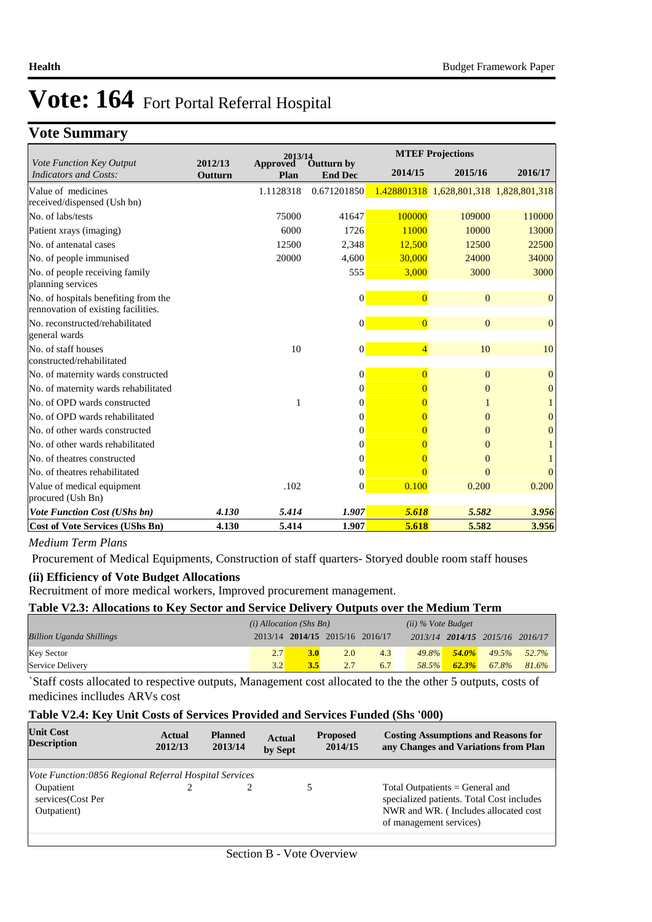# **Vote Summary**

| 2013/14                                                                     |                    |                         |                                     | <b>MTEF Projections</b> |                                         |                  |
|-----------------------------------------------------------------------------|--------------------|-------------------------|-------------------------------------|-------------------------|-----------------------------------------|------------------|
| Vote Function Key Output<br><b>Indicators and Costs:</b>                    | 2012/13<br>Outturn | <b>Approved</b><br>Plan | <b>Outturn by</b><br><b>End Dec</b> | 2014/15                 | 2015/16                                 | 2016/17          |
| Value of medicines                                                          |                    | 1.1128318               | 0.671201850                         |                         | 1.428801318 1,628,801,318 1,828,801,318 |                  |
| received/dispensed (Ush bn)                                                 |                    |                         |                                     |                         |                                         |                  |
| No. of labs/tests                                                           |                    | 75000                   | 41647                               | 100000                  | 109000                                  | 110000           |
| Patient xrays (imaging)                                                     |                    | 6000                    | 1726                                | 11000                   | 10000                                   | 13000            |
| No. of antenatal cases                                                      |                    | 12500                   | 2,348                               | 12,500                  | 12500                                   | 22500            |
| No. of people immunised                                                     |                    | 20000                   | 4,600                               | 30,000                  | 24000                                   | 34000            |
| No. of people receiving family<br>planning services                         |                    |                         | 555                                 | 3,000                   | 3000                                    | 3000             |
| No. of hospitals benefiting from the<br>rennovation of existing facilities. |                    |                         | $\vert 0 \vert$                     | $\overline{0}$          | $\Omega$                                | $\mathbf{0}$     |
| No. reconstructed/rehabilitated                                             |                    |                         | $\vert 0 \vert$                     | $\overline{0}$          | $\Omega$                                | $\overline{0}$   |
| general wards                                                               |                    |                         |                                     |                         |                                         |                  |
| No. of staff houses                                                         |                    | 10                      | $\vert 0 \vert$                     | $\overline{4}$          | 10                                      | 10               |
| constructed/rehabilitated                                                   |                    |                         |                                     |                         |                                         |                  |
| No. of maternity wards constructed                                          |                    |                         | $\overline{0}$                      | $\overline{0}$          | $\Omega$                                | $\mathbf{0}$     |
| No. of maternity wards rehabilitated                                        |                    |                         | $\Omega$                            | $\Omega$                | $\mathbf{0}$                            | $\mathbf{0}$     |
| No. of OPD wards constructed                                                |                    | 1                       | $\Omega$                            | $\overline{0}$          |                                         |                  |
| No. of OPD wards rehabilitated                                              |                    |                         | $\Omega$                            | 0                       | $\Omega$                                | $\boldsymbol{0}$ |
| No. of other wards constructed                                              |                    |                         | $\Omega$                            | $\overline{0}$          | $\Omega$                                | $\theta$         |
| No. of other wards rehabilitated                                            |                    |                         | $\overline{0}$                      | $\Omega$                | $\Omega$                                |                  |
| No. of theatres constructed                                                 |                    |                         | $\Omega$                            | $\Omega$                | $\Omega$                                |                  |
| No. of theatres rehabilitated                                               |                    |                         | $\Omega$                            | $\Omega$                | $\Omega$                                | $\Omega$         |
| Value of medical equipment<br>procured (Ush Bn)                             |                    | .102                    | $\Omega$                            | 0.100                   | 0.200                                   | 0.200            |
| <b>Vote Function Cost (UShs bn)</b>                                         | 4.130              | 5.414                   | 1.907                               | 5.618                   | 5.582                                   | 3.956            |
| <b>Cost of Vote Services (UShs Bn)</b>                                      | 4.130              | 5.414                   | 1.907                               | 5.618                   | 5.582                                   | 3.956            |

#### *Medium Term Plans*

Procurement of Medical Equipments, Construction of staff quarters- Storyed double room staff houses

#### **(ii) Efficiency of Vote Budget Allocations**

Recruitment of more medical workers, Improved procurement management.

#### **Table V2.3: Allocations to Key Sector and Service Delivery Outputs over the Medium Term**

|                                 | $(i)$ Allocation (Shs Bn) |                                 |     |     | $(ii)$ % Vote Budget |           |                                 |                |
|---------------------------------|---------------------------|---------------------------------|-----|-----|----------------------|-----------|---------------------------------|----------------|
| <b>Billion Uganda Shillings</b> |                           | 2013/14 2014/15 2015/16 2016/17 |     |     |                      |           | 2013/14 2014/15 2015/16 2016/17 |                |
| <b>Key Sector</b>               | 2.7                       |                                 | 2.0 | 4.3 | $49.8\%$             | $-54.0\%$ |                                 | $49.5\%$ 52.7% |
| Service Delivery                | 3.2                       |                                 |     | 6.7 | 58.5%                | 62.3%     | 67.8%                           | 81.6%          |

`Staff costs allocated to respective outputs, Management cost allocated to the the other 5 outputs, costs of medicines inclludes ARVs cost

#### **Table V2.4: Key Unit Costs of Services Provided and Services Funded (Shs '000)**

| <b>Unit Cost</b><br><b>Description</b>                 | Actual<br>2012/13 | <b>Planned</b><br>2013/14 | <b>Actual</b><br>by Sept | <b>Proposed</b><br>2014/15 | <b>Costing Assumptions and Reasons for</b><br>any Changes and Variations from Plan                                                                |
|--------------------------------------------------------|-------------------|---------------------------|--------------------------|----------------------------|---------------------------------------------------------------------------------------------------------------------------------------------------|
|                                                        |                   |                           |                          |                            |                                                                                                                                                   |
| Vote Function:0856 Regional Referral Hospital Services |                   |                           |                          |                            |                                                                                                                                                   |
| Oupatient<br>services(Cost Per<br>Outpatient)          |                   |                           |                          |                            | Total Outpatients $=$ General and<br>specialized patients. Total Cost includes<br>NWR and WR. (Includes allocated cost<br>of management services) |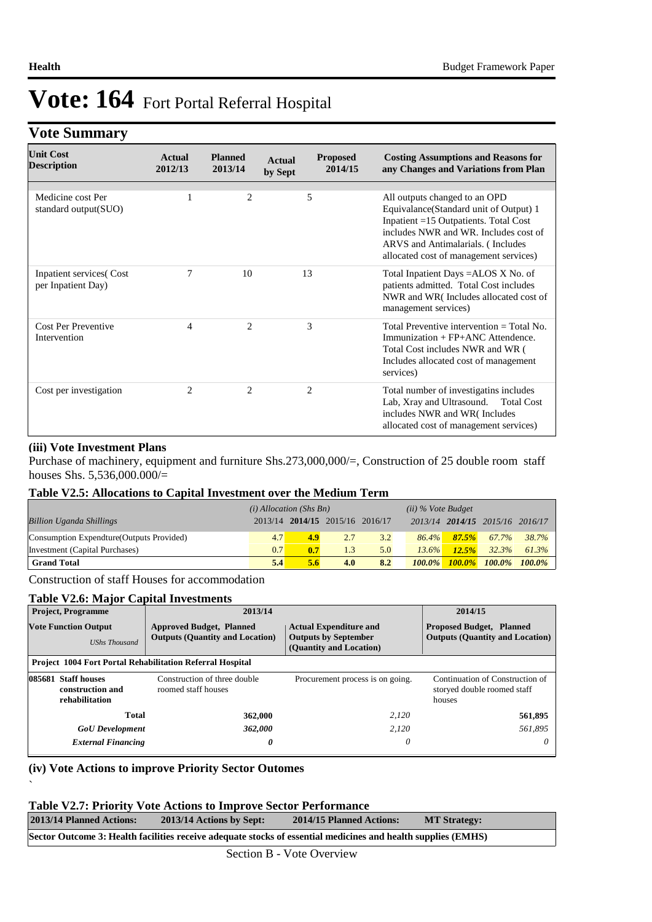## **Vote Summary**

| <b>Unit Cost</b><br><b>Description</b>                | Actual<br>2012/13 | <b>Planned</b><br>2013/14 | <b>Actual</b><br>by Sept | <b>Proposed</b><br>2014/15    | <b>Costing Assumptions and Reasons for</b><br>any Changes and Variations from Plan                                                                                                                                                       |
|-------------------------------------------------------|-------------------|---------------------------|--------------------------|-------------------------------|------------------------------------------------------------------------------------------------------------------------------------------------------------------------------------------------------------------------------------------|
| Medicine cost Per<br>standard output(SUO)             |                   | $\overline{c}$            |                          | 5                             | All outputs changed to an OPD<br>Equivalance(Standard unit of Output) 1<br>Inpatient =15 Outpatients. Total Cost<br>includes NWR and WR. Includes cost of<br>ARVS and Antimalarials. (Includes<br>allocated cost of management services) |
| <b>Inpatient services</b> (Cost<br>per Inpatient Day) |                   | 10                        | 13                       |                               | Total Inpatient Days =ALOS X No. of<br>patients admitted. Total Cost includes<br>NWR and WR(Includes allocated cost of<br>management services)                                                                                           |
| Cost Per Preventive<br>Intervention                   | 4                 | $\mathcal{L}$             |                          | 3                             | Total Preventive intervention $=$ Total No.<br>Immunization + $FP+ANC$ Attendence.<br>Total Cost includes NWR and WR (<br>Includes allocated cost of management<br>services)                                                             |
| Cost per investigation                                | $\mathcal{L}$     | $\mathfrak{D}$            |                          | $\mathfrak{D}_{\mathfrak{p}}$ | Total number of investigatins includes<br>Lab, Xray and Ultrasound.<br><b>Total Cost</b><br>includes NWR and WR(Includes<br>allocated cost of management services)                                                                       |

#### **(iii) Vote Investment Plans**

`

Purchase of machinery, equipment and furniture Shs.273,000,000/=, Construction of 25 double room staff houses Shs. 5,536,000.000/=

#### **Table V2.5: Allocations to Capital Investment over the Medium Term**

|                                           | $(i)$ Allocation (Shs Bn) |     |                                 | $(ii)$ % Vote Budget |           |       |                                 |       |
|-------------------------------------------|---------------------------|-----|---------------------------------|----------------------|-----------|-------|---------------------------------|-------|
| <b>Billion Uganda Shillings</b>           |                           |     | 2013/14 2014/15 2015/16 2016/17 |                      |           |       | 2013/14 2014/15 2015/16 2016/17 |       |
| Consumption Expendture (Outputs Provided) | 4.7                       | 4.9 | 2.7                             | 3.2                  | $86.4\%$  | 87.5% | 67.7%                           | 38.7% |
| Investment (Capital Purchases)            | 0.7                       | 0.7 | 1.3                             | 5.0                  | $13.6\%$  | 12.5% | 32.3%                           | 61.3% |
| <b>Grand Total</b>                        | 5.4                       | 5.6 | 4.0                             | 8.2                  | $100.0\%$ |       | $100.0\%$ $100.0\%$ $100.0\%$   |       |

Construction of staff Houses for accommodation

#### **Table V2.6: Major Capital Investments**

| <b>Project, Programme</b>                           |                                                           | 2013/14                                                                                                                                                              | 2014/15                          |                                                                           |  |
|-----------------------------------------------------|-----------------------------------------------------------|----------------------------------------------------------------------------------------------------------------------------------------------------------------------|----------------------------------|---------------------------------------------------------------------------|--|
| <b>Vote Function Output</b><br><b>UShs Thousand</b> |                                                           | <b>Actual Expenditure and</b><br><b>Approved Budget, Planned</b><br><b>Outputs (Quantity and Location)</b><br><b>Outputs by September</b><br>(Quantity and Location) |                                  | <b>Proposed Budget, Planned</b><br><b>Outputs (Quantity and Location)</b> |  |
|                                                     |                                                           | <b>Project 1004 Fort Portal Rehabilitation Referral Hospital</b>                                                                                                     |                                  |                                                                           |  |
|                                                     | 085681 Staff houses<br>construction and<br>rehabilitation | Construction of three double<br>roomed staff houses                                                                                                                  | Procurement process is on going. | Continuation of Construction of<br>storyed double roomed staff<br>houses  |  |
|                                                     | Total                                                     | 362,000                                                                                                                                                              | 2.120                            | 561,895                                                                   |  |
|                                                     | <b>GoU</b> Development                                    | 362,000                                                                                                                                                              | 2,120                            | 561.895                                                                   |  |
|                                                     | <b>External Financing</b>                                 | 0                                                                                                                                                                    | 0                                | $\theta$                                                                  |  |

#### **(iv) Vote Actions to improve Priority Sector Outomes**

#### **Table V2.7: Priority Vote Actions to Improve Sector Performance**

| 2013/14 Planned Actions:                                                                                      | 2013/14 Actions by Sept: | 2014/15 Planned Actions: | <b>MT Strategy:</b> |  |  |  |
|---------------------------------------------------------------------------------------------------------------|--------------------------|--------------------------|---------------------|--|--|--|
| Sector Outcome 3: Health facilities receive adequate stocks of essential medicines and health supplies (EMHS) |                          |                          |                     |  |  |  |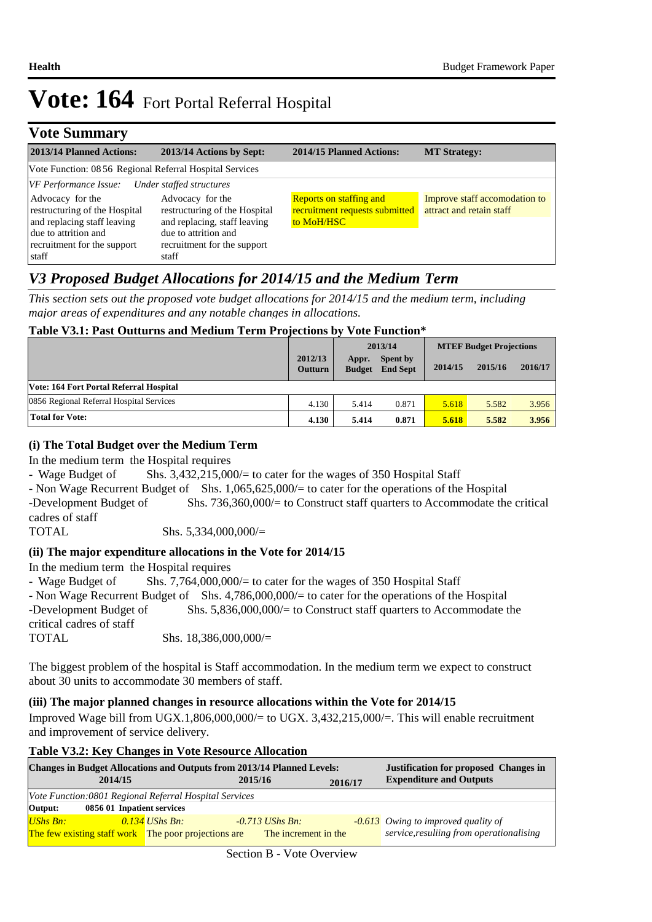| <b>Vote Summary</b>                                                              |                                                                                   |                                                                         |                                                           |
|----------------------------------------------------------------------------------|-----------------------------------------------------------------------------------|-------------------------------------------------------------------------|-----------------------------------------------------------|
| 2013/14 Planned Actions:                                                         | 2013/14 Actions by Sept:                                                          | 2014/15 Planned Actions:                                                | <b>MT Strategy:</b>                                       |
| Vote Function: 08 56 Regional Referral Hospital Services                         |                                                                                   |                                                                         |                                                           |
| VF Performance Issue:                                                            | Under staffed structures                                                          |                                                                         |                                                           |
| Advocacy for the<br>restructuring of the Hospital<br>and replacing staff leaving | Advocacy for the<br>restructuring of the Hospital<br>and replacing, staff leaving | Reports on staffing and<br>recruitment requests submitted<br>to MoH/HSC | Improve staff accomodation to<br>attract and retain staff |
| due to attrition and<br>recruitment for the support<br>staff                     | due to attrition and<br>recruitment for the support<br>staff                      |                                                                         |                                                           |

## *V3 Proposed Budget Allocations for 2014/15 and the Medium Term*

*This section sets out the proposed vote budget allocations for 2014/15 and the medium term, including major areas of expenditures and any notable changes in allocations.* 

### **Table V3.1: Past Outturns and Medium Term Projections by Vote Function\***

|                                          |                           | 2013/14                |                             | <b>MTEF Budget Projections</b> |         |         |
|------------------------------------------|---------------------------|------------------------|-----------------------------|--------------------------------|---------|---------|
|                                          | 2012/13<br><b>Outturn</b> | Appr.<br><b>Budget</b> | Spent by<br><b>End Sept</b> | 2014/15                        | 2015/16 | 2016/17 |
| Vote: 164 Fort Portal Referral Hospital  |                           |                        |                             |                                |         |         |
| 0856 Regional Referral Hospital Services | 4.130                     | 5.414                  | 0.871                       | 5.618                          | 5.582   | 3.956   |
| <b>Total for Vote:</b>                   | 4.130                     | 5.414                  | 0.871                       | 5.618                          | 5.582   | 3.956   |

#### **(i) The Total Budget over the Medium Term**

In the medium term the Hospital requires

- Wage Budget of Shs. 3,432,215,000/= to cater for the wages of 350 Hospital Staff

- Non Wage Recurrent Budget of Shs. 1,065,625,000/= to cater for the operations of the Hospital -Development Budget of Shs. 736,360,000/= to Construct staff quarters to Accommodate the critical cadres of staff

TOTAL Shs. 5,334,000,000/=

### **(ii) The major expenditure allocations in the Vote for 2014/15**

In the medium term the Hospital requires

| - Wage Budget of         | Shs. 7,764,000,000/ $=$ to cater for the wages of 350 Hospital Staff                            |
|--------------------------|-------------------------------------------------------------------------------------------------|
|                          | - Non Wage Recurrent Budget of Shs. 4,786,000,000/= to cater for the operations of the Hospital |
| -Development Budget of   | Shs. $5,836,000,000/=$ to Construct staff quarters to Accommodate the                           |
| critical cadres of staff |                                                                                                 |
| TOTAL                    | Shs. $18,386,000,000/=$                                                                         |
|                          |                                                                                                 |

The biggest problem of the hospital is Staff accommodation. In the medium term we expect to construct about 30 units to accommodate 30 members of staff.

### **(iii) The major planned changes in resource allocations within the Vote for 2014/15**

Improved Wage bill from UGX.1,806,000,000/= to UGX. 3,432,215,000/=. This will enable recruitment and improvement of service delivery.

### **Table V3.2: Key Changes in Vote Resource Allocation**

| <b>Changes in Budget Allocations and Outputs from 2013/14 Planned Levels:</b> |                  | <b>Justification for proposed Changes in</b> |  |                                          |  |  |
|-------------------------------------------------------------------------------|------------------|----------------------------------------------|--|------------------------------------------|--|--|
| 2014/15                                                                       | 2015/16          | 2016/17                                      |  | <b>Expenditure and Outputs</b>           |  |  |
| Vote Function:0801 Regional Referral Hospital Services                        |                  |                                              |  |                                          |  |  |
| 0856 01 Inpatient services<br>Output:                                         |                  |                                              |  |                                          |  |  |
| <b>UShs Bn:</b>                                                               | $0.134$ UShs Bn: | $-0.713$ UShs Bn:                            |  | $-0.613$ Owing to improved quality of    |  |  |
| <b>The few existing staff work</b> The poor projections are                   |                  | The increment in the                         |  | service, resuliing from operationalising |  |  |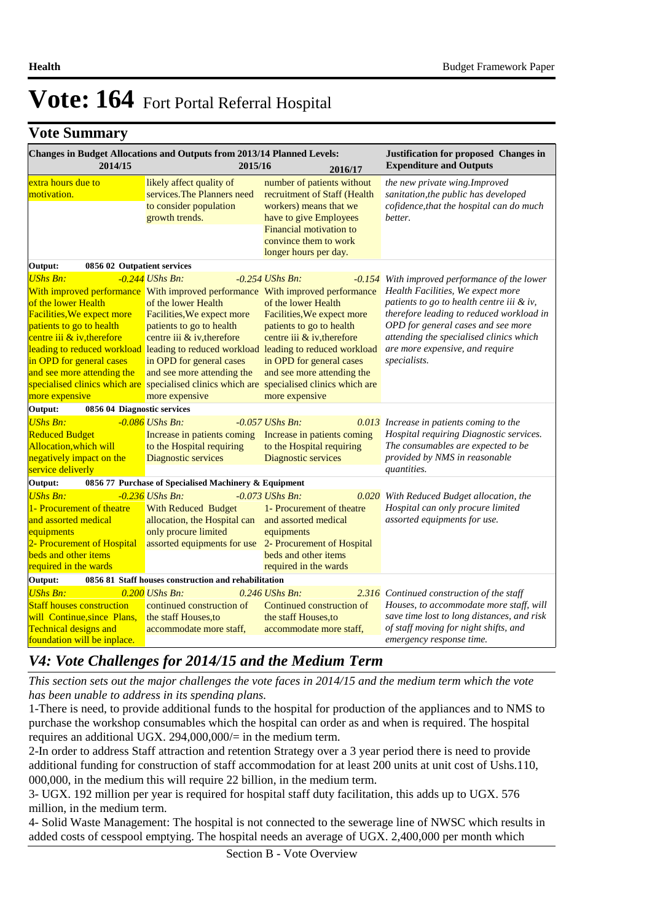### **Vote Summary**

| Changes in Budget Allocations and Outputs from 2013/14 Planned Levels:<br>2014/15                                                                                                                             | Justification for proposed Changes in<br><b>Expenditure and Outputs</b>                                                                                                                                                                                                                     |                                                                                                                                                                                                                                                                                                                                                                                                  |                                                                                                                                                                                                                                                                                                                 |
|---------------------------------------------------------------------------------------------------------------------------------------------------------------------------------------------------------------|---------------------------------------------------------------------------------------------------------------------------------------------------------------------------------------------------------------------------------------------------------------------------------------------|--------------------------------------------------------------------------------------------------------------------------------------------------------------------------------------------------------------------------------------------------------------------------------------------------------------------------------------------------------------------------------------------------|-----------------------------------------------------------------------------------------------------------------------------------------------------------------------------------------------------------------------------------------------------------------------------------------------------------------|
| extra hours due to<br>motivation.                                                                                                                                                                             | likely affect quality of<br>services. The Planners need<br>to consider population<br>growth trends.                                                                                                                                                                                         | number of patients without<br>recruitment of Staff (Health<br>workers) means that we<br>have to give Employees<br>Financial motivation to<br>convince them to work<br>longer hours per day.                                                                                                                                                                                                      | the new private wing. Improved<br>sanitation, the public has developed<br>cofidence, that the hospital can do much<br>better.                                                                                                                                                                                   |
| Output:<br>0856 02 Outpatient services                                                                                                                                                                        |                                                                                                                                                                                                                                                                                             |                                                                                                                                                                                                                                                                                                                                                                                                  |                                                                                                                                                                                                                                                                                                                 |
| <b>UShs Bn:</b><br>of the lower Health<br>Facilities, We expect more<br>patients to go to health<br>centre iii $\&$ iv, therefore<br>in OPD for general cases<br>and see more attending the<br>more expensive | -0.244 UShs Bn:<br>With improved performance With improved performance With improved performance<br>of the lower Health<br>Facilities, We expect more<br>patients to go to health<br>centre iii & iv, therefore<br>in OPD for general cases<br>and see more attending the<br>more expensive | $-0.254$ UShs Bn:<br>of the lower Health<br>Facilities, We expect more<br>patients to go to health<br>centre iii & iv, therefore<br>leading to reduced workload leading to reduced workload leading to reduced workload<br>in OPD for general cases<br>and see more attending the<br>specialised clinics which are specialised clinics which are specialised clinics which are<br>more expensive | -0.154 With improved performance of the lower<br>Health Facilities, We expect more<br>patients to go to health centre iii & iv,<br>therefore leading to reduced workload in<br>OPD for general cases and see more<br>attending the specialised clinics which<br>are more expensive, and require<br>specialists. |
| Output:<br>0856 04 Diagnostic services                                                                                                                                                                        |                                                                                                                                                                                                                                                                                             |                                                                                                                                                                                                                                                                                                                                                                                                  |                                                                                                                                                                                                                                                                                                                 |
| <b>UShs Bn:</b><br><b>Reduced Budget</b><br>Allocation, which will<br>negatively impact on the<br>service deliverly                                                                                           | $-0.086$ UShs Bn:<br>Increase in patients coming<br>to the Hospital requiring<br>Diagnostic services                                                                                                                                                                                        | $-0.057$ UShs Bn:<br>Increase in patients coming<br>to the Hospital requiring<br>Diagnostic services                                                                                                                                                                                                                                                                                             | 0.013 Increase in patients coming to the<br>Hospital requiring Diagnostic services.<br>The consumables are expected to be<br>provided by NMS in reasonable<br>quantities.                                                                                                                                       |
| Output:                                                                                                                                                                                                       | 0856 77 Purchase of Specialised Machinery & Equipment                                                                                                                                                                                                                                       |                                                                                                                                                                                                                                                                                                                                                                                                  |                                                                                                                                                                                                                                                                                                                 |
| <b>UShs Bn:</b><br>1- Procurement of theatre<br>and assorted medical<br>equipments<br>2- Procurement of Hospital<br>beds and other items<br>required in the wards                                             | $-0.236$ UShs Bn:<br><b>With Reduced Budget</b><br>allocation, the Hospital can<br>only procure limited<br>assorted equipments for use 2- Procurement of Hospital                                                                                                                           | $-0.073$ UShs Bn:<br>1- Procurement of theatre<br>and assorted medical<br>equipments<br>beds and other items<br>required in the wards                                                                                                                                                                                                                                                            | 0.020 With Reduced Budget allocation, the<br>Hospital can only procure limited<br>assorted equipments for use.                                                                                                                                                                                                  |
| Output:                                                                                                                                                                                                       | 0856 81 Staff houses construction and rehabilitation                                                                                                                                                                                                                                        |                                                                                                                                                                                                                                                                                                                                                                                                  |                                                                                                                                                                                                                                                                                                                 |
| <b>UShs Bn:</b><br><b>Staff houses construction</b><br>will Continue, since Plans,<br><b>Technical designs and</b><br>foundation will be inplace.                                                             | $0.200$ UShs Bn:<br>continued construction of<br>the staff Houses, to<br>accommodate more staff,                                                                                                                                                                                            | $0.246$ UShs Bn:<br>Continued construction of<br>the staff Houses, to<br>accommodate more staff,                                                                                                                                                                                                                                                                                                 | <b>2.316</b> Continued construction of the staff<br>Houses, to accommodate more staff, will<br>save time lost to long distances, and risk<br>of staff moving for night shifts, and<br>emergency response time.                                                                                                  |

### *V4: Vote Challenges for 2014/15 and the Medium Term*

*This section sets out the major challenges the vote faces in 2014/15 and the medium term which the vote has been unable to address in its spending plans.*

1-There is need, to provide additional funds to the hospital for production of the appliances and to NMS to purchase the workshop consumables which the hospital can order as and when is required. The hospital requires an additional UGX. 294,000,000/= in the medium term.

2-In order to address Staff attraction and retention Strategy over a 3 year period there is need to provide additional funding for construction of staff accommodation for at least 200 units at unit cost of Ushs.110, 000,000, in the medium this will require 22 billion, in the medium term.

3- UGX. 192 million per year is required for hospital staff duty facilitation, this adds up to UGX. 576 million, in the medium term. 

4- Solid Waste Management: The hospital is not connected to the sewerage line of NWSC which results in added costs of cesspool emptying. The hospital needs an average of UGX. 2,400,000 per month which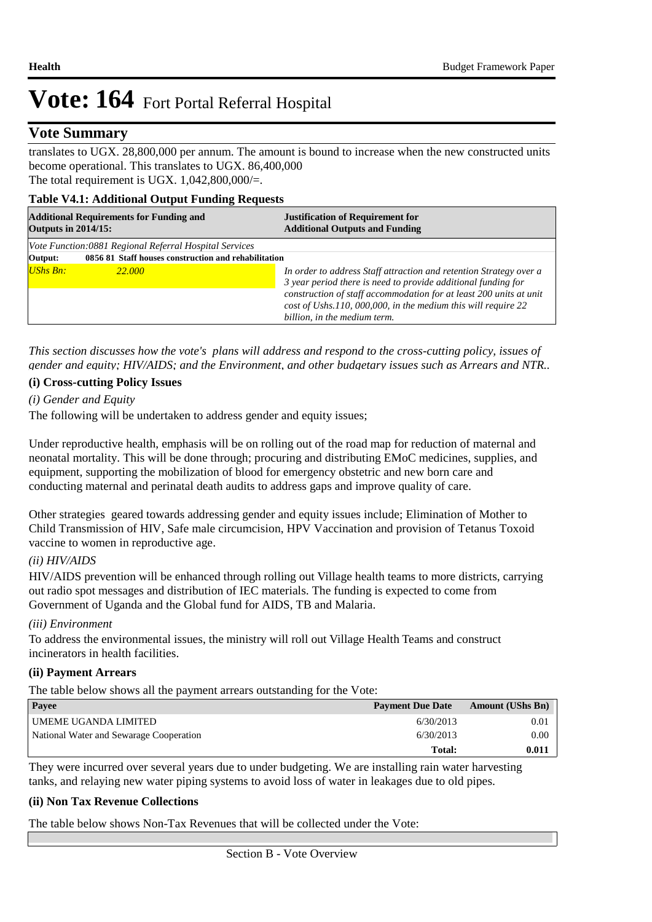### **Vote Summary**

translates to UGX. 28,800,000 per annum. The amount is bound to increase when the new constructed units become operational. This translates to UGX. 86,400,000 The total requirement is UGX.  $1,042,800,000/=$ .

#### **Table V4.1: Additional Output Funding Requests**

| <b>Additional Requirements for Funding and</b><br><b>Outputs in 2014/15:</b> |                                                        | <b>Justification of Requirement for</b><br><b>Additional Outputs and Funding</b>                                                    |  |  |  |  |
|------------------------------------------------------------------------------|--------------------------------------------------------|-------------------------------------------------------------------------------------------------------------------------------------|--|--|--|--|
|                                                                              | Vote Function:0881 Regional Referral Hospital Services |                                                                                                                                     |  |  |  |  |
| Output:                                                                      | 0856 81 Staff houses construction and rehabilitation   |                                                                                                                                     |  |  |  |  |
| $UShs Bn:$                                                                   | 22.000                                                 | In order to address Staff attraction and retention Strategy over a<br>3 year period there is need to provide additional funding for |  |  |  |  |
|                                                                              |                                                        | construction of staff accommodation for at least 200 units at unit<br>cost of Ushs.110, 000,000, in the medium this will require 22 |  |  |  |  |
|                                                                              |                                                        | billion, in the medium term.                                                                                                        |  |  |  |  |

*This section discusses how the vote's plans will address and respond to the cross-cutting policy, issues of gender and equity; HIV/AIDS; and the Environment, and other budgetary issues such as Arrears and NTR..* 

#### **(i) Cross-cutting Policy Issues**

*(i) Gender and Equity*

The following will be undertaken to address gender and equity issues;

Under reproductive health, emphasis will be on rolling out of the road map for reduction of maternal and neonatal mortality. This will be done through; procuring and distributing EMoC medicines, supplies, and equipment, supporting the mobilization of blood for emergency obstetric and new born care and conducting maternal and perinatal death audits to address gaps and improve quality of care.

Other strategies geared towards addressing gender and equity issues include; Elimination of Mother to Child Transmission of HIV, Safe male circumcision, HPV Vaccination and provision of Tetanus Toxoid vaccine to women in reproductive age.

#### *(ii) HIV/AIDS*

 HIV/AIDS prevention will be enhanced through rolling out Village health teams to more districts, carrying out radio spot messages and distribution of IEC materials. The funding is expected to come from Government of Uganda and the Global fund for AIDS, TB and Malaria.

#### *(iii) Environment*

 To address the environmental issues, the ministry will roll out Village Health Teams and construct incinerators in health facilities.

#### **(ii) Payment Arrears**

The table below shows all the payment arrears outstanding for the Vote:

| <b>Payee</b>                            | <b>Payment Due Date</b> | <b>Amount (UShs Bn)</b> |
|-----------------------------------------|-------------------------|-------------------------|
| UMEME UGANDA LIMITED                    | 6/30/2013               | 0.01                    |
| National Water and Sewarage Cooperation | 6/30/2013               | 0.00                    |
|                                         | Total:                  | 0.011                   |

They were incurred over several years due to under budgeting. We are installing rain water harvesting tanks, and relaying new water piping systems to avoid loss of water in leakages due to old pipes.

#### **(ii) Non Tax Revenue Collections**

The table below shows Non-Tax Revenues that will be collected under the Vote: